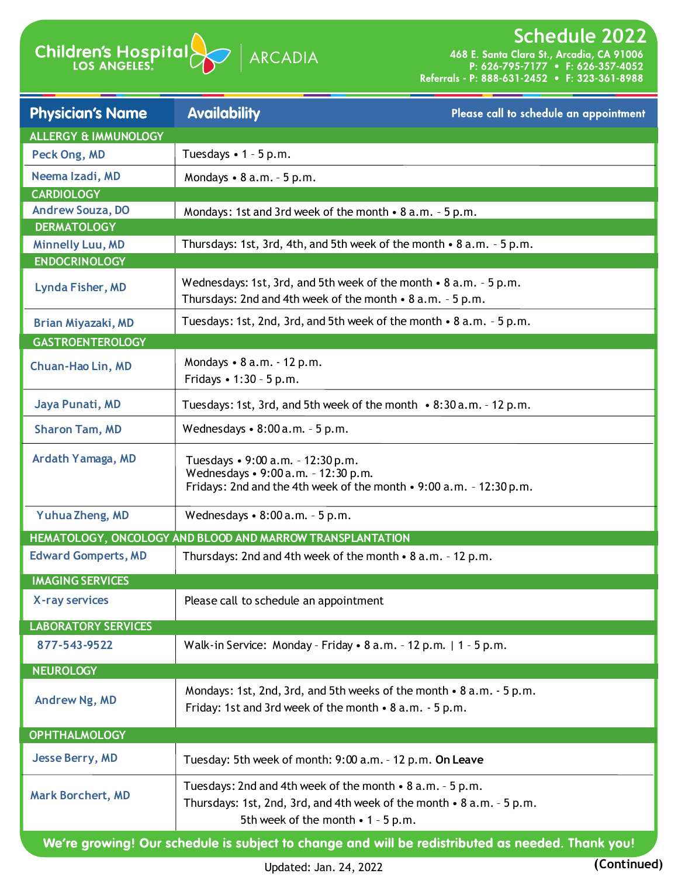

**Schedule 2022**<br>468 E. Santa Clara St., Arcadia, CA 91006<br>P: 626-795-7177 • F: 626-357-4052<br>Referrals - P: 888-631-2452 • F: 323-361-8988

| <b>Physician's Name</b>                         | <b>Availability</b>                                                                                                                                                            | Please call to schedule an appointment |
|-------------------------------------------------|--------------------------------------------------------------------------------------------------------------------------------------------------------------------------------|----------------------------------------|
| <b>ALLERGY &amp; IMMUNOLOGY</b>                 |                                                                                                                                                                                |                                        |
| Peck Ong, MD                                    | Tuesdays $\cdot$ 1 - 5 p.m.                                                                                                                                                    |                                        |
| Neema Izadi, MD                                 | Mondays $\bullet$ 8 a.m. $\text{-}$ 5 p.m.                                                                                                                                     |                                        |
| <b>CARDIOLOGY</b>                               |                                                                                                                                                                                |                                        |
| <b>Andrew Souza, DO</b>                         | Mondays: 1st and 3rd week of the month • 8 a.m. - 5 p.m.                                                                                                                       |                                        |
| <b>DERMATOLOGY</b>                              |                                                                                                                                                                                |                                        |
| <b>Minnelly Luu, MD</b><br><b>ENDOCRINOLOGY</b> | Thursdays: 1st, 3rd, 4th, and 5th week of the month • 8 a.m. - 5 p.m.                                                                                                          |                                        |
|                                                 |                                                                                                                                                                                |                                        |
| Lynda Fisher, MD                                | Wednesdays: 1st, 3rd, and 5th week of the month • 8 a.m. - 5 p.m.<br>Thursdays: 2nd and 4th week of the month $\cdot$ 8 a.m. - 5 p.m.                                          |                                        |
| <b>Brian Miyazaki, MD</b>                       | Tuesdays: 1st, 2nd, 3rd, and 5th week of the month • 8 a.m. - 5 p.m.                                                                                                           |                                        |
| <b>GASTROENTEROLOGY</b>                         |                                                                                                                                                                                |                                        |
| Chuan-Hao Lin, MD                               | Mondays • 8 a.m. - 12 p.m.<br>Fridays • 1:30 - 5 p.m.                                                                                                                          |                                        |
| Jaya Punati, MD                                 | Tuesdays: 1st, 3rd, and 5th week of the month • 8:30 a.m. - 12 p.m.                                                                                                            |                                        |
| <b>Sharon Tam, MD</b>                           | Wednesdays $\bullet$ 8:00 a.m. - 5 p.m.                                                                                                                                        |                                        |
| Ardath Yamaga, MD                               | Tuesdays • 9:00 a.m. - 12:30 p.m.<br>Wednesdays • 9:00 a.m. - 12:30 p.m.<br>Fridays: 2nd and the 4th week of the month • 9:00 a.m. - 12:30 p.m.                                |                                        |
| Yuhua Zheng, MD                                 | Wednesdays $\cdot$ 8:00 a.m. - 5 p.m.                                                                                                                                          |                                        |
|                                                 | HEMATOLOGY, ONCOLOGY AND BLOOD AND MARROW TRANSPLANTATION                                                                                                                      |                                        |
| <b>Edward Gomperts, MD</b>                      | Thursdays: 2nd and 4th week of the month • 8 a.m. - 12 p.m.                                                                                                                    |                                        |
| <b>IMAGING SERVICES</b>                         |                                                                                                                                                                                |                                        |
| X-ray services                                  | Please call to schedule an appointment                                                                                                                                         |                                        |
| <b>LABORATORY SERVICES</b>                      |                                                                                                                                                                                |                                        |
| 877-543-9522                                    | Walk-in Service: Monday - Friday • 8 a.m. - 12 p.m.   1 - 5 p.m.                                                                                                               |                                        |
| <b>NEUROLOGY</b>                                |                                                                                                                                                                                |                                        |
| Andrew Ng, MD                                   | Mondays: 1st, 2nd, 3rd, and 5th weeks of the month • 8 a.m. - 5 p.m.<br>Friday: 1st and 3rd week of the month • 8 a.m. - 5 p.m.                                                |                                        |
| <b>OPHTHALMOLOGY</b>                            |                                                                                                                                                                                |                                        |
| <b>Jesse Berry, MD</b>                          | Tuesday: 5th week of month: 9:00 a.m. - 12 p.m. On Leave                                                                                                                       |                                        |
| <b>Mark Borchert, MD</b>                        | Tuesdays: 2nd and 4th week of the month • 8 a.m. - 5 p.m.<br>Thursdays: 1st, 2nd, 3rd, and 4th week of the month • 8 a.m. - 5 p.m.<br>5th week of the month $\cdot$ 1 - 5 p.m. |                                        |
|                                                 | We're growing! Our schedule is subject to change and will be redistributed as needed. Thank you!                                                                               |                                        |